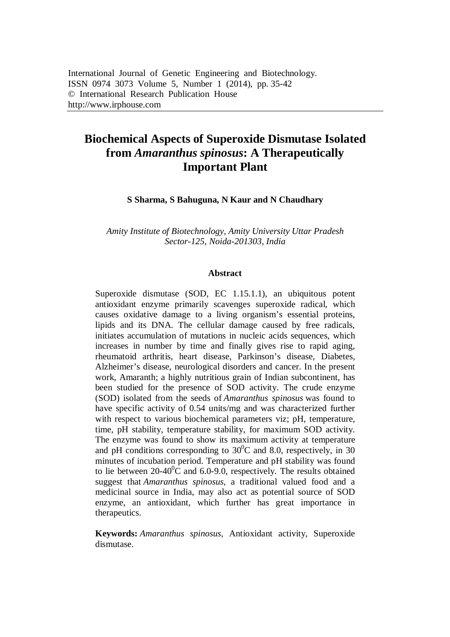# **Biochemical Aspects of Superoxide Dismutase Isolated from** *Amaranthus spinosus***: A Therapeutically Important Plant**

**S Sharma, S Bahuguna, N Kaur and N Chaudhary**

*Amity Institute of Biotechnology, Amity University Uttar Pradesh Sector-125, Noida-201303, India*

#### **Abstract**

Superoxide dismutase (SOD, EC 1.15.1.1), an ubiquitous potent antioxidant enzyme primarily scavenges superoxide radical, which causes oxidative damage to a living organism's essential proteins, lipids and its DNA. The cellular damage caused by free radicals, initiates accumulation of mutations in nucleic acids sequences, which increases in number by time and finally gives rise to rapid aging, rheumatoid arthritis, heart disease, Parkinson's disease, Diabetes, Alzheimer's disease, neurological disorders and cancer. In the present work, Amaranth; a highly nutritious grain of Indian subcontinent, has been studied for the presence of SOD activity. The crude enzyme (SOD) isolated from the seeds of *Amaranthus spinosus* was found to have specific activity of 0.54 units/mg and was characterized further with respect to various biochemical parameters viz; pH, temperature, time, pH stability, temperature stability, for maximum SOD activity. The enzyme was found to show its maximum activity at temperature and pH conditions corresponding to  $30^{\circ}$ C and 8.0, respectively, in 30 minutes of incubation period. Temperature and pH stability was found to lie between  $20-40^{\circ}$ C and 6.0-9.0, respectively. The results obtained suggest that *Amaranthus spinosus*, a traditional valued food and a medicinal source in India, may also act as potential source of SOD enzyme, an antioxidant, which further has great importance in therapeutics.

**Keywords:** *Amaranthus spinosus*, Antioxidant activity, Superoxide dismutase.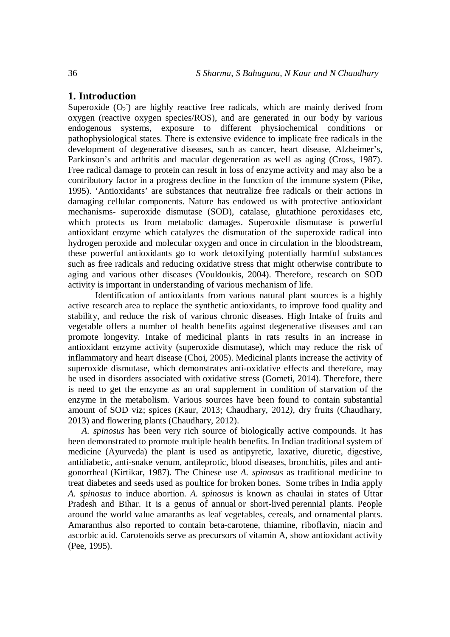## **1. Introduction**

Superoxide  $(O_2)$  are highly reactive free radicals, which are mainly derived from oxygen (reactive oxygen species/ROS), and are generated in our body by various endogenous systems, exposure to different physiochemical conditions or pathophysiological states. There is extensive evidence to implicate free radicals in the development of degenerative diseases, such as cancer, heart disease, Alzheimer's, Parkinson's and arthritis and macular degeneration as well as aging (Cross, 1987). Free radical damage to protein can result in loss of enzyme activity and may also be a contributory factor in a progress decline in the function of the immune system (Pike, 1995). 'Antioxidants' are substances that neutralize free radicals or their actions in damaging cellular components. Nature has endowed us with protective antioxidant mechanisms- superoxide dismutase (SOD), catalase, glutathione peroxidases etc, which protects us from metabolic damages. Superoxide dismutase is powerful antioxidant enzyme which catalyzes the dismutation of the superoxide radical into hydrogen peroxide and molecular oxygen and once in circulation in the bloodstream, these powerful antioxidants go to work detoxifying potentially harmful substances such as free radicals and reducing oxidative stress that might otherwise contribute to aging and various other diseases (Vouldoukis, 2004). Therefore, research on SOD activity is important in understanding of various mechanism of life.

Identification of antioxidants from various natural plant sources is a highly active research area to replace the synthetic antioxidants, to improve food quality and stability, and reduce the risk of various chronic diseases. High Intake of fruits and vegetable offers a number of health benefits against degenerative diseases and can promote longevity. Intake of medicinal plants in rats results in an increase in antioxidant enzyme activity (superoxide dismutase), which may reduce the risk of inflammatory and heart disease (Choi, 2005). Medicinal plants increase the activity of superoxide dismutase, which demonstrates anti-oxidative effects and therefore, may be used in disorders associated with oxidative stress (Gometi, 2014). Therefore, there is need to get the enzyme as an oral supplement in condition of starvation of the enzyme in the metabolism. Various sources have been found to contain substantial amount of SOD viz; spices (Kaur, 2013; Chaudhary, 2012*),* dry fruits (Chaudhary, 2013) and flowering plants (Chaudhary, 2012).

*A. spinosus* has been very rich source of biologically active compounds. It has been demonstrated to promote multiple health benefits. In Indian traditional system of medicine (Ayurveda) the plant is used as antipyretic, laxative, diuretic, digestive, antidiabetic, anti-snake venum, antileprotic, blood diseases, bronchitis, piles and antigonorrheal (Kirtikar, 1987). The Chinese use *A. spinosus* as traditional medicine to treat diabetes and seeds used as poultice for broken bones. Some tribes in India apply *A. spinosus* to induce abortion. *A. spinosus* is known as chaulai in states of Uttar Pradesh and Bihar. It is a genus of annual or short-lived perennial plants. People around the world value amaranths as leaf vegetables, cereals, and ornamental plants. Amaranthus also reported to contain beta-carotene, thiamine, riboflavin, niacin and ascorbic acid. Carotenoids serve as precursors of vitamin A, show antioxidant activity (Pee, 1995).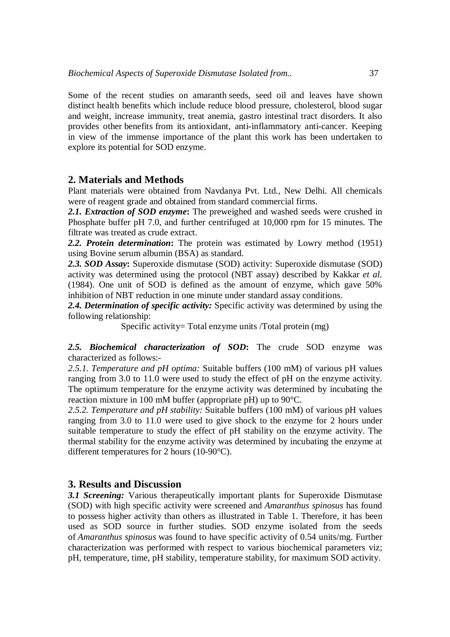Some of the recent studies on amaranth seeds, seed oil and leaves have shown distinct health benefits which include reduce blood pressure, cholesterol, blood sugar and weight, increase immunity, treat anemia, gastro intestinal tract disorders. It also provides other benefits from its antioxidant, anti-inflammatory anti-cancer. Keeping in view of the immense importance of the plant this work has been undertaken to explore its potential for SOD enzyme.

#### **2. Materials and Methods**

Plant materials were obtained from Navdanya Pvt. Ltd., New Delhi. All chemicals were of reagent grade and obtained from standard commercial firms.

*2.1. Extraction of SOD enzyme***:** The preweighed and washed seeds were crushed in Phosphate buffer pH 7.0, and further centrifuged at 10,000 rpm for 15 minutes. The filtrate was treated as crude extract.

*2.2. Protein determination***:** The protein was estimated by Lowry method (1951) using Bovine serum albumin (BSA) as standard.

*2.3. SOD Assay***:** Superoxide dismutase (SOD) activity: Superoxide dismutase (SOD) activity was determined using the protocol (NBT assay) described by Kakkar *et al.*  (1984). One unit of SOD is defined as the amount of enzyme, which gave 50% inhibition of NBT reduction in one minute under standard assay conditions.

*2.4. Determination of specific activity:* Specific activity was determined by using the following relationship:

Specific activity= Total enzyme units /Total protein (mg)

#### *2.5. Biochemical characterization of SOD***:** The crude SOD enzyme was characterized as follows:-

*2.5.1. Temperature and pH optima:* Suitable buffers (100 mM) of various pH values ranging from 3.0 to 11.0 were used to study the effect of pH on the enzyme activity. The optimum temperature for the enzyme activity was determined by incubating the reaction mixture in 100 mM buffer (appropriate pH) up to 90°C.

*2.5.2. Temperature and pH stability:* Suitable buffers (100 mM) of various pH values ranging from 3.0 to 11.0 were used to give shock to the enzyme for 2 hours under suitable temperature to study the effect of pH stability on the enzyme activity. The thermal stability for the enzyme activity was determined by incubating the enzyme at different temperatures for 2 hours (10-90°C).

#### **3. Results and Discussion**

*3.1 Screening:* Various therapeutically important plants for Superoxide Dismutase (SOD) with high specific activity were screened and *Amaranthus spinosus* has found to possess higher activity than others as illustrated in Table 1. Therefore, it has been used as SOD source in further studies. SOD enzyme isolated from the seeds of *Amaranthus spinosus* was found to have specific activity of 0.54 units/mg. Further characterization was performed with respect to various biochemical parameters viz; pH, temperature, time, pH stability, temperature stability, for maximum SOD activity.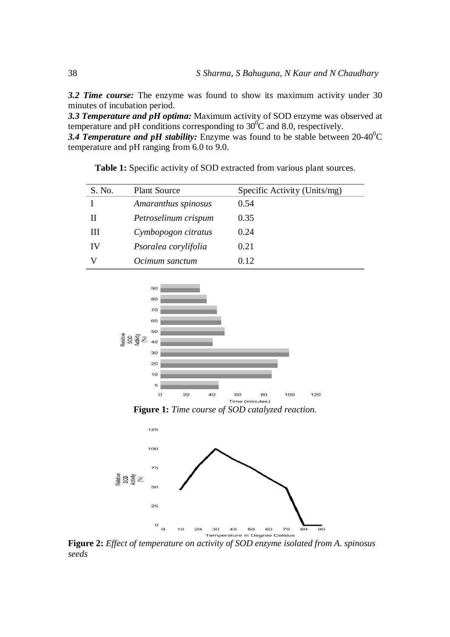*3.2 Time course:* The enzyme was found to show its maximum activity under 30 minutes of incubation period.

*3.3 Temperature and pH optima:* Maximum activity of SOD enzyme was observed at temperature and pH conditions corresponding to  $30^{\circ}$ C and 8.0, respectively.

**3.4 Temperature and pH stability:** Enzyme was found to be stable between  $20-40^{\circ}$ C temperature and pH ranging from 6.0 to 9.0.

| S. No. | <b>Plant Source</b>  | Specific Activity (Units/mg) |
|--------|----------------------|------------------------------|
|        | Amaranthus spinosus  | 0.54                         |
| п      | Petroselinum crispum | 0.35                         |
| Ш      | Cymbopogon citratus  | 0.24                         |
| IV     | Psoralea corylifolia | 0.21                         |
|        | Ocimum sanctum       | 0.12                         |

**Table 1:** Specific activity of SOD extracted from various plant sources.



**Figure 1:** *Time course of SOD catalyzed reaction.*



**Figure 2:** *Effect of temperature on activity of SOD enzyme isolated from A. spinosus seeds*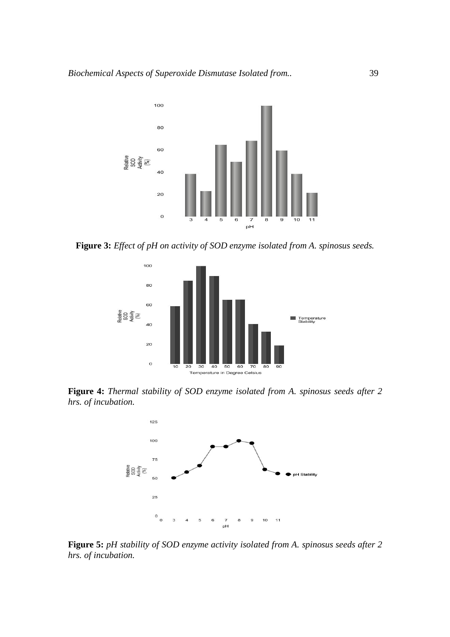

**Figure 3:** *Effect of pH on activity of SOD enzyme isolated from A. spinosus seeds.*



**Figure 4:** *Thermal stability of SOD enzyme isolated from A. spinosus seeds after 2 hrs. of incubation.*



**Figure 5:** *pH stability of SOD enzyme activity isolated from A. spinosus seeds after 2 hrs. of incubation.*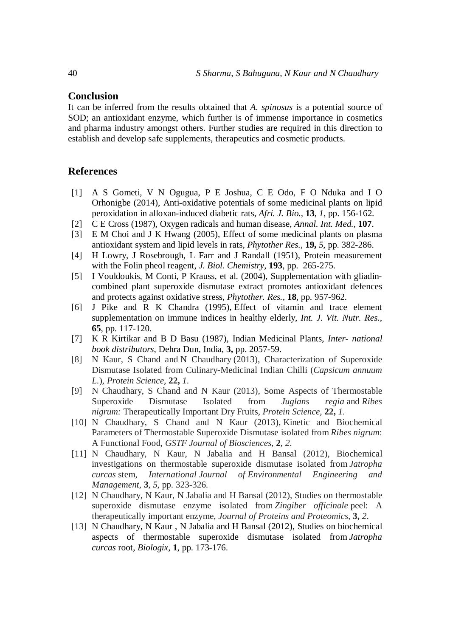#### **Conclusion**

It can be inferred from the results obtained that *A. spinosus* is a potential source of SOD; an antioxidant enzyme, which further is of immense importance in cosmetics and pharma industry amongst others. Further studies are required in this direction to establish and develop safe supplements, therapeutics and cosmetic products.

## **References**

- [1] A S Gometi, V N Ogugua, P E Joshua, C E Odo, F O Nduka and I O Orhonigbe (2014), Anti-oxidative potentials of some medicinal plants on lipid peroxidation in alloxan-induced diabetic rats, *Afri. J. Bio.,* **13**, *1*, pp. 156-162.
- [2] C E Cross (1987), Oxygen radicals and human disease, *Annal. Int. Med.,* **107**.
- [3] E M Choi and J K Hwang (2005), Effect of some medicinal plants on plasma antioxidant system and lipid levels in rats, *Phytother Res.,* **19,** *5*, pp. 382-286.
- [4] H Lowry, J Rosebrough, L Farr and J Randall (1951), Protein measurement with the Folin pheol reagent, *J. Biol. Chemistry,* **193**, pp. 265-275.
- [5] I Vouldoukis, M Conti, P Krauss, et al. (2004), Supplementation with gliadincombined plant superoxide dismutase extract promotes antioxidant defences and protects against oxidative stress, *Phytother. Res.,* **18**, pp. 957-962.
- [6] J Pike and R K Chandra (1995), Effect of vitamin and trace element supplementation on immune indices in healthy elderly, *Int. J. Vit. Nutr. Res.,* **65**, pp. 117-120.
- [7] K R Kirtikar and B D Basu (1987), Indian Medicinal Plants, *Inter- national book distributors*, Dehra Dun, India, **3,** pp. 2057-59.
- [8] N Kaur, S Chand and N Chaudhary (2013), Characterization of Superoxide Dismutase Isolated from Culinary-Medicinal Indian Chilli (*Capsicum annuum L.*), *Protein Science,* **22,** *1*.
- [9] N Chaudhary, S Chand and N Kaur (2013), Some Aspects of Thermostable Superoxide Dismutase Isolated from *Juglans regia* and *Ribes nigrum:* Therapeutically Important Dry Fruits, *Protein Science,* **22,** *1*.
- [10] N Chaudhary, S Chand and N Kaur (2013), Kinetic and Biochemical Parameters of Thermostable Superoxide Dismutase isolated from *Ribes nigrum*: A Functional Food*, GSTF Journal of Biosciences,* **2**, *2*.
- [11] N Chaudhary, N Kaur, N Jabalia and H Bansal (2012), Biochemical investigations on thermostable superoxide dismutase isolated from *Jatropha curcas* stem, *International Journal of Environmental Engineering and Management*, **3**, *5*, pp. 323-326.
- [12] N Chaudhary, N Kaur, N Jabalia and H Bansal (2012), Studies on thermostable superoxide dismutase enzyme isolated from *Zingiber officinale* peel: A therapeutically important enzyme, *Journal of Proteins and Proteomics,* **3,** *2*.
- [13] N Chaudhary, N Kaur, N Jabalia and H Bansal (2012), Studies on biochemical aspects of thermostable superoxide dismutase isolated from *Jatropha curcas* root, *Biologix,* **1**, pp. 173-176.